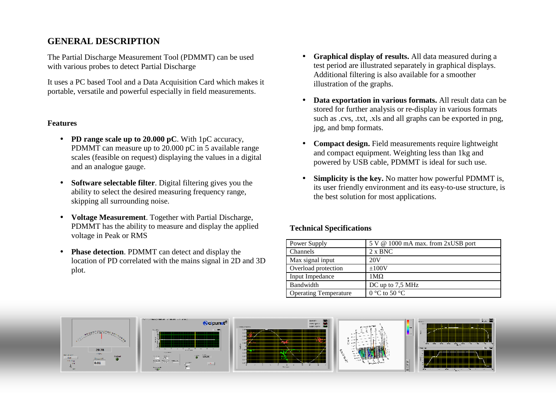# **GENERAL DESCRIPTION**

The Partial Discharge Measurement Tool (PDMMT) can be used with various probes to detect Partial Discharge

It uses a PC based Tool and a Data Acquisition Card which makes it portable, versatile and powerful especially in field measurements.

### **Features**

- **PD range scale up to 20.000 pC**. With 1pC accuracy, PDMMT can measure up to 20.000 pC in 5 available range scales (feasible on request) displaying the values in a digital and an analogue gauge.
- $\bullet$  **Software selectable filter**. Digital filtering gives you the ability to select the desired measuring frequency range, skipping all surrounding noise.
- $\bullet$  **Voltage Measurement**. Together with Partial Discharge, PDMMT has the ability to measure and display the applied voltage in Peak or RMS
- $\bullet$  **Phase detection**. PDMMT can detect and display the location of PD correlated with the mains signal in 2D and 3D plot.
- • **Graphical display of results.** All data measured during a test period are illustrated separately in graphical displays. Additional filtering is also available for a smoother illustration of the graphs.
- • **Data exportation in various formats.** All result data can be stored for further analysis or re-display in various formats such as .cvs, .txt, .xls and all graphs can be exported in png, jpg, and bmp formats.
- • **Compact design.** Field measurements require lightweight and compact equipment. Weighting less than 1kg and powered by USB cable, PDMMT is ideal for such use.
- • **Simplicity is the key.** No matter how powerful PDMMT is, its user friendly environment and its easy-to-use structure, is the best solution for most applications.

## **Technical Specifications**

| Power Supply                 | 5 V @ 1000 mA max. from 2xUSB port |
|------------------------------|------------------------------------|
| Channels                     | $2 \times BNC$                     |
| Max signal input             | 20 <sub>V</sub>                    |
| Overload protection          | ±100V                              |
| Input Impedance              | $1 \text{M}\Omega$                 |
| Bandwidth                    | DC up to 7,5 MHz                   |
| <b>Operating Temperature</b> | 0 °C to 50 °C                      |